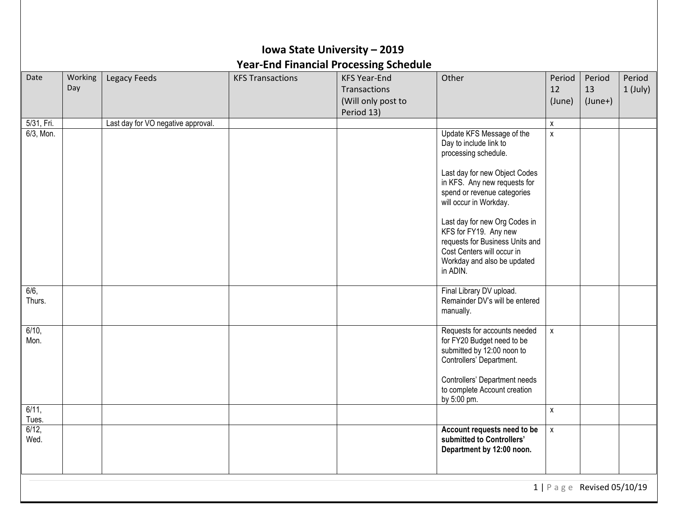|                  |                |                                    |                         | Iowa State University - 2019<br><b>Year-End Financial Processing Schedule</b> |                                                                                                                                                                                                                                                                                                                                                                             |                        |                              |                      |
|------------------|----------------|------------------------------------|-------------------------|-------------------------------------------------------------------------------|-----------------------------------------------------------------------------------------------------------------------------------------------------------------------------------------------------------------------------------------------------------------------------------------------------------------------------------------------------------------------------|------------------------|------------------------------|----------------------|
| Date             | Working<br>Day | Legacy Feeds                       | <b>KFS Transactions</b> | <b>KFS Year-End</b><br>Transactions<br>(Will only post to<br>Period 13)       | Other                                                                                                                                                                                                                                                                                                                                                                       | Period<br>12<br>(June) | Period<br>13<br>$(June+)$    | Period<br>$1$ (July) |
| 5/31, Fri.       |                | Last day for VO negative approval. |                         |                                                                               |                                                                                                                                                                                                                                                                                                                                                                             | X                      |                              |                      |
| 6/3, Mon.        |                |                                    |                         |                                                                               | Update KFS Message of the<br>Day to include link to<br>processing schedule.<br>Last day for new Object Codes<br>in KFS. Any new requests for<br>spend or revenue categories<br>will occur in Workday.<br>Last day for new Org Codes in<br>KFS for FY19. Any new<br>requests for Business Units and<br>Cost Centers will occur in<br>Workday and also be updated<br>in ADIN. | X                      |                              |                      |
| 6/6,<br>Thurs.   |                |                                    |                         |                                                                               | Final Library DV upload.<br>Remainder DV's will be entered<br>manually.                                                                                                                                                                                                                                                                                                     |                        |                              |                      |
| $6/10$ ,<br>Mon. |                |                                    |                         |                                                                               | Requests for accounts needed<br>for FY20 Budget need to be<br>submitted by 12:00 noon to<br>Controllers' Department.<br>Controllers' Department needs<br>to complete Account creation<br>by 5:00 pm.                                                                                                                                                                        | $\pmb{\mathsf{X}}$     |                              |                      |
| 6/11,<br>Tues.   |                |                                    |                         |                                                                               |                                                                                                                                                                                                                                                                                                                                                                             | X                      |                              |                      |
| 6/12,<br>Wed.    |                |                                    |                         |                                                                               | Account requests need to be<br>submitted to Controllers'<br>Department by 12:00 noon.                                                                                                                                                                                                                                                                                       | $\pmb{\mathsf{x}}$     |                              |                      |
|                  |                |                                    |                         |                                                                               |                                                                                                                                                                                                                                                                                                                                                                             |                        | 1   P a g e Revised 05/10/19 |                      |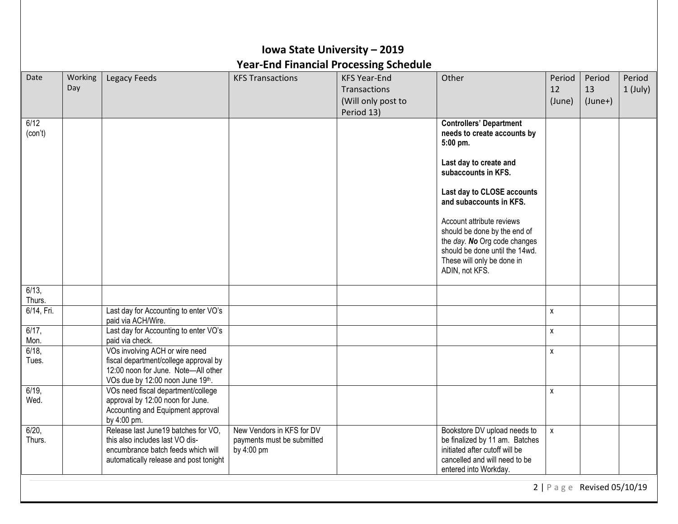|                 |                |                                                                                                                                                         | <b>Year-End Financial Processing Schedule</b>                         | Iowa State University - 2019                                            |                                                                                                                                                                                                                                                                                                                                                                    |                        |                              |                      |
|-----------------|----------------|---------------------------------------------------------------------------------------------------------------------------------------------------------|-----------------------------------------------------------------------|-------------------------------------------------------------------------|--------------------------------------------------------------------------------------------------------------------------------------------------------------------------------------------------------------------------------------------------------------------------------------------------------------------------------------------------------------------|------------------------|------------------------------|----------------------|
| Date            | Working<br>Day | Legacy Feeds                                                                                                                                            | <b>KFS Transactions</b>                                               | <b>KFS Year-End</b><br>Transactions<br>(Will only post to<br>Period 13) | Other                                                                                                                                                                                                                                                                                                                                                              | Period<br>12<br>(June) | Period<br>13<br>$(June+)$    | Period<br>$1$ (July) |
| 6/12<br>(con't) |                |                                                                                                                                                         |                                                                       |                                                                         | <b>Controllers' Department</b><br>needs to create accounts by<br>5:00 pm.<br>Last day to create and<br>subaccounts in KFS.<br>Last day to CLOSE accounts<br>and subaccounts in KFS.<br>Account attribute reviews<br>should be done by the end of<br>the day. No Org code changes<br>should be done until the 14wd.<br>These will only be done in<br>ADIN, not KFS. |                        |                              |                      |
| 6/13,<br>Thurs. |                |                                                                                                                                                         |                                                                       |                                                                         |                                                                                                                                                                                                                                                                                                                                                                    |                        |                              |                      |
| 6/14, Fri.      |                | Last day for Accounting to enter VO's<br>paid via ACH/Wire.                                                                                             |                                                                       |                                                                         |                                                                                                                                                                                                                                                                                                                                                                    | X                      |                              |                      |
| 6/17,<br>Mon.   |                | Last day for Accounting to enter VO's<br>paid via check.                                                                                                |                                                                       |                                                                         |                                                                                                                                                                                                                                                                                                                                                                    | X                      |                              |                      |
| 6/18,<br>Tues.  |                | VOs involving ACH or wire need<br>fiscal department/college approval by<br>12:00 noon for June. Note-All other<br>VOs due by 12:00 noon June 19th.      |                                                                       |                                                                         |                                                                                                                                                                                                                                                                                                                                                                    | X                      |                              |                      |
| 6/19,<br>Wed.   |                | VOs need fiscal department/college<br>approval by 12:00 noon for June.<br>Accounting and Equipment approval<br>by 4:00 pm.                              |                                                                       |                                                                         |                                                                                                                                                                                                                                                                                                                                                                    | X                      |                              |                      |
| 6/20,<br>Thurs. |                | Release last June 19 batches for VO,<br>this also includes last VO dis-<br>encumbrance batch feeds which will<br>automatically release and post tonight | New Vendors in KFS for DV<br>payments must be submitted<br>by 4:00 pm |                                                                         | Bookstore DV upload needs to<br>be finalized by 11 am. Batches<br>initiated after cutoff will be<br>cancelled and will need to be<br>entered into Workday.                                                                                                                                                                                                         | χ                      |                              |                      |
|                 |                |                                                                                                                                                         |                                                                       |                                                                         |                                                                                                                                                                                                                                                                                                                                                                    |                        | 2   P a g e Revised 05/10/19 |                      |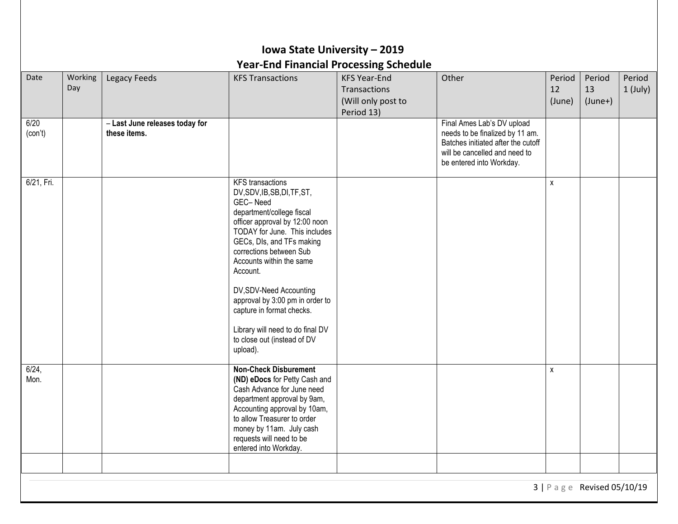|                 | Iowa State University - 2019<br><b>Year-End Financial Processing Schedule</b> |                                                |                                                                                                                                                                                                                                                                                                                                                                                                                                               |                                                                         |                                                                                                                                                                  |                        |                           |                      |  |  |  |
|-----------------|-------------------------------------------------------------------------------|------------------------------------------------|-----------------------------------------------------------------------------------------------------------------------------------------------------------------------------------------------------------------------------------------------------------------------------------------------------------------------------------------------------------------------------------------------------------------------------------------------|-------------------------------------------------------------------------|------------------------------------------------------------------------------------------------------------------------------------------------------------------|------------------------|---------------------------|----------------------|--|--|--|
| Date            | Working<br>Day                                                                | Legacy Feeds                                   | <b>KFS Transactions</b>                                                                                                                                                                                                                                                                                                                                                                                                                       | <b>KFS Year-End</b><br>Transactions<br>(Will only post to<br>Period 13) | Other                                                                                                                                                            | Period<br>12<br>(June) | Period<br>13<br>$(June+)$ | Period<br>$1$ (July) |  |  |  |
| 6/20<br>(con't) |                                                                               | - Last June releases today for<br>these items. |                                                                                                                                                                                                                                                                                                                                                                                                                                               |                                                                         | Final Ames Lab's DV upload<br>needs to be finalized by 11 am.<br>Batches initiated after the cutoff<br>will be cancelled and need to<br>be entered into Workday. |                        |                           |                      |  |  |  |
| 6/21, Fri.      |                                                                               |                                                | <b>KFS</b> transactions<br>DV, SDV, IB, SB, DI, TF, ST,<br>GEC-Need<br>department/college fiscal<br>officer approval by 12:00 noon<br>TODAY for June. This includes<br>GECs, DIs, and TFs making<br>corrections between Sub<br>Accounts within the same<br>Account.<br>DV, SDV-Need Accounting<br>approval by 3:00 pm in order to<br>capture in format checks.<br>Library will need to do final DV<br>to close out (instead of DV<br>upload). |                                                                         |                                                                                                                                                                  | X                      |                           |                      |  |  |  |
| 6/24,<br>Mon.   |                                                                               |                                                | <b>Non-Check Disburement</b><br>(ND) eDocs for Petty Cash and<br>Cash Advance for June need<br>department approval by 9am,<br>Accounting approval by 10am,<br>to allow Treasurer to order<br>money by 11am. July cash<br>requests will need to be<br>entered into Workday.                                                                                                                                                                    |                                                                         |                                                                                                                                                                  | $\pmb{\chi}$           |                           |                      |  |  |  |
|                 |                                                                               |                                                |                                                                                                                                                                                                                                                                                                                                                                                                                                               |                                                                         |                                                                                                                                                                  |                        | 3   Page Revised 05/10/19 |                      |  |  |  |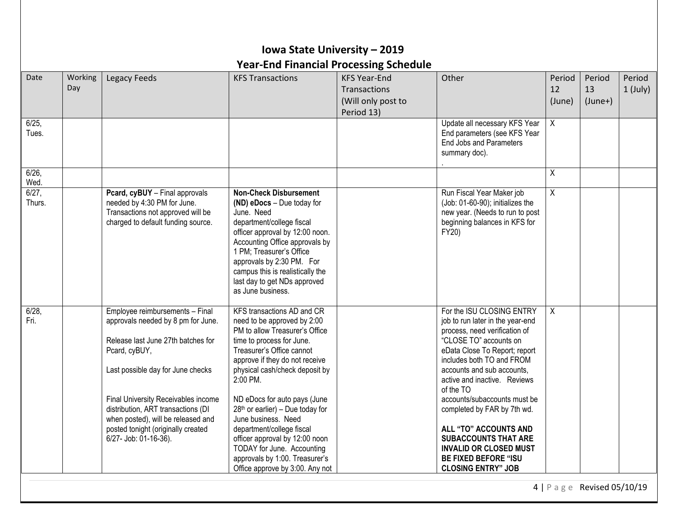|                    |                |                                                                                                                                                                                                                                                                                                                                                     | Iowa State University - 2019<br><b>Year-End Financial Processing Schedule</b>                                                                                                                                                                                                                                                                                                                                                                                                                        |                                                                                |                                                                                                                                                                                                                                                                                                                                                                                                                                                                                       |                        |                           |                      |
|--------------------|----------------|-----------------------------------------------------------------------------------------------------------------------------------------------------------------------------------------------------------------------------------------------------------------------------------------------------------------------------------------------------|------------------------------------------------------------------------------------------------------------------------------------------------------------------------------------------------------------------------------------------------------------------------------------------------------------------------------------------------------------------------------------------------------------------------------------------------------------------------------------------------------|--------------------------------------------------------------------------------|---------------------------------------------------------------------------------------------------------------------------------------------------------------------------------------------------------------------------------------------------------------------------------------------------------------------------------------------------------------------------------------------------------------------------------------------------------------------------------------|------------------------|---------------------------|----------------------|
| Date               | Working<br>Day | <b>Legacy Feeds</b>                                                                                                                                                                                                                                                                                                                                 | <b>KFS Transactions</b>                                                                                                                                                                                                                                                                                                                                                                                                                                                                              | <b>KFS Year-End</b><br><b>Transactions</b><br>(Will only post to<br>Period 13) | Other                                                                                                                                                                                                                                                                                                                                                                                                                                                                                 | Period<br>12<br>(June) | Period<br>13<br>$(June+)$ | Period<br>$1$ (July) |
| 6/25<br>Tues.      |                |                                                                                                                                                                                                                                                                                                                                                     |                                                                                                                                                                                                                                                                                                                                                                                                                                                                                                      |                                                                                | Update all necessary KFS Year<br>End parameters (see KFS Year<br>End Jobs and Parameters<br>summary doc).                                                                                                                                                                                                                                                                                                                                                                             | $\mathsf{X}$           |                           |                      |
| 6/26<br>Wed.       |                |                                                                                                                                                                                                                                                                                                                                                     |                                                                                                                                                                                                                                                                                                                                                                                                                                                                                                      |                                                                                |                                                                                                                                                                                                                                                                                                                                                                                                                                                                                       | Χ                      |                           |                      |
| $6/27$ ,<br>Thurs. |                | Pcard, cyBUY - Final approvals<br>needed by 4:30 PM for June.<br>Transactions not approved will be<br>charged to default funding source.                                                                                                                                                                                                            | <b>Non-Check Disbursement</b><br>(ND) eDocs - Due today for<br>June. Need<br>department/college fiscal<br>officer approval by 12:00 noon.<br>Accounting Office approvals by<br>1 PM; Treasurer's Office<br>approvals by 2:30 PM. For<br>campus this is realistically the<br>last day to get NDs approved<br>as June business.                                                                                                                                                                        |                                                                                | Run Fiscal Year Maker job<br>(Job: 01-60-90); initializes the<br>new year. (Needs to run to post<br>beginning balances in KFS for<br>FY20)                                                                                                                                                                                                                                                                                                                                            | $\overline{X}$         |                           |                      |
| 6/28<br>Fri.       |                | Employee reimbursements - Final<br>approvals needed by 8 pm for June.<br>Release last June 27th batches for<br>Pcard, cyBUY,<br>Last possible day for June checks<br>Final University Receivables income<br>distribution, ART transactions (DI<br>when posted), will be released and<br>posted tonight (originally created<br>6/27- Job: 01-16-36). | KFS transactions AD and CR<br>need to be approved by 2:00<br>PM to allow Treasurer's Office<br>time to process for June.<br>Treasurer's Office cannot<br>approve if they do not receive<br>physical cash/check deposit by<br>2:00 PM.<br>ND eDocs for auto pays (June<br>$28th$ or earlier) – Due today for<br>June business. Need<br>department/college fiscal<br>officer approval by 12:00 noon<br>TODAY for June. Accounting<br>approvals by 1:00. Treasurer's<br>Office approve by 3:00. Any not |                                                                                | For the ISU CLOSING ENTRY<br>job to run later in the year-end<br>process, need verification of<br>"CLOSE TO" accounts on<br>eData Close To Report; report<br>includes both TO and FROM<br>accounts and sub accounts,<br>active and inactive. Reviews<br>of the TO<br>accounts/subaccounts must be<br>completed by FAR by 7th wd.<br>ALL "TO" ACCOUNTS AND<br><b>SUBACCOUNTS THAT ARE</b><br><b>INVALID OR CLOSED MUST</b><br><b>BE FIXED BEFORE "ISU</b><br><b>CLOSING ENTRY" JOB</b> | X                      |                           |                      |

4 | P a g e Revised 05/10/19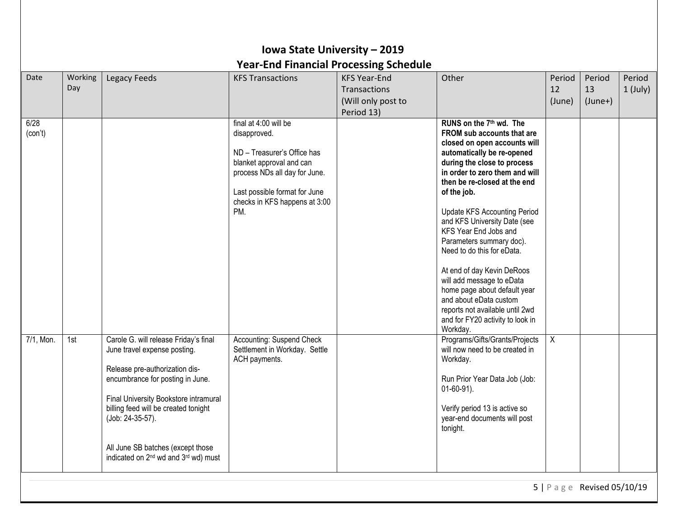|                 |                |                                                                                                                                                                                                                                                                                                                                                       | Iowa State University - 2019<br><b>Year-End Financial Processing Schedule</b>                                                                                                                              |                                                                         |                                                                                                                                                                                                                                                                                                                                                                                                                                                                                                                                                                                                                   |                        |                           |                      |
|-----------------|----------------|-------------------------------------------------------------------------------------------------------------------------------------------------------------------------------------------------------------------------------------------------------------------------------------------------------------------------------------------------------|------------------------------------------------------------------------------------------------------------------------------------------------------------------------------------------------------------|-------------------------------------------------------------------------|-------------------------------------------------------------------------------------------------------------------------------------------------------------------------------------------------------------------------------------------------------------------------------------------------------------------------------------------------------------------------------------------------------------------------------------------------------------------------------------------------------------------------------------------------------------------------------------------------------------------|------------------------|---------------------------|----------------------|
| Date            | Working<br>Day | <b>Legacy Feeds</b>                                                                                                                                                                                                                                                                                                                                   | <b>KFS Transactions</b>                                                                                                                                                                                    | <b>KFS Year-End</b><br>Transactions<br>(Will only post to<br>Period 13) | Other                                                                                                                                                                                                                                                                                                                                                                                                                                                                                                                                                                                                             | Period<br>12<br>(June) | Period<br>13<br>$(June+)$ | Period<br>$1$ (July) |
| 6/28<br>(con't) |                |                                                                                                                                                                                                                                                                                                                                                       | final at 4:00 will be<br>disapproved.<br>ND - Treasurer's Office has<br>blanket approval and can<br>process NDs all day for June.<br>Last possible format for June<br>checks in KFS happens at 3:00<br>PM. |                                                                         | RUNS on the 7 <sup>th</sup> wd. The<br>FROM sub accounts that are<br>closed on open accounts will<br>automatically be re-opened<br>during the close to process<br>in order to zero them and will<br>then be re-closed at the end<br>of the job.<br><b>Update KFS Accounting Period</b><br>and KFS University Date (see<br>KFS Year End Jobs and<br>Parameters summary doc).<br>Need to do this for eData.<br>At end of day Kevin DeRoos<br>will add message to eData<br>home page about default year<br>and about eData custom<br>reports not available until 2wd<br>and for FY20 activity to look in<br>Workday. |                        |                           |                      |
| 7/1, Mon.       | 1st            | Carole G. will release Friday's final<br>June travel expense posting.<br>Release pre-authorization dis-<br>encumbrance for posting in June.<br>Final University Bookstore intramural<br>billing feed will be created tonight<br>(Job: 24-35-57).<br>All June SB batches (except those<br>indicated on 2 <sup>nd</sup> wd and 3 <sup>rd</sup> wd) must | <b>Accounting: Suspend Check</b><br>Settlement in Workday. Settle<br>ACH payments.                                                                                                                         |                                                                         | Programs/Gifts/Grants/Projects<br>will now need to be created in<br>Workday.<br>Run Prior Year Data Job (Job:<br>$01-60-91$ ).<br>Verify period 13 is active so<br>year-end documents will post<br>tonight.                                                                                                                                                                                                                                                                                                                                                                                                       | $\overline{X}$         |                           |                      |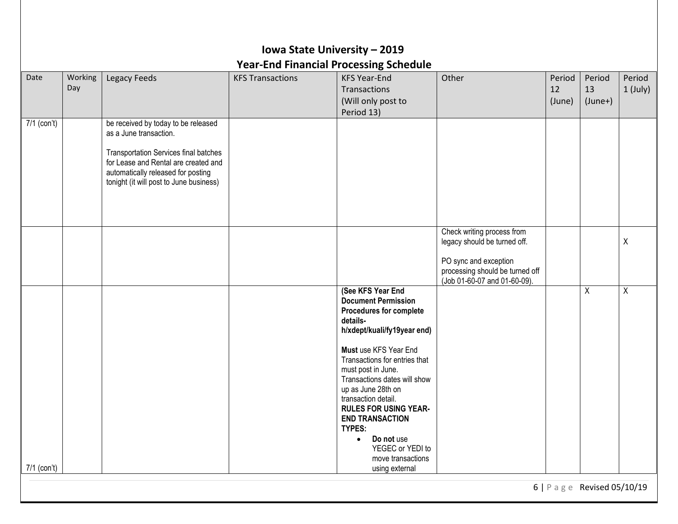|             |                |                                                                                                                                                                                                                                 | Iowa State University - 2019 | <b>Year-End Financial Processing Schedule</b>                                                                                                                                                                                                                                                                                                                                                                                     |                                                                                                                                                        |                        |                           |                      |
|-------------|----------------|---------------------------------------------------------------------------------------------------------------------------------------------------------------------------------------------------------------------------------|------------------------------|-----------------------------------------------------------------------------------------------------------------------------------------------------------------------------------------------------------------------------------------------------------------------------------------------------------------------------------------------------------------------------------------------------------------------------------|--------------------------------------------------------------------------------------------------------------------------------------------------------|------------------------|---------------------------|----------------------|
| Date        | Working<br>Day | Legacy Feeds                                                                                                                                                                                                                    | <b>KFS Transactions</b>      | <b>KFS Year-End</b><br>Transactions<br>(Will only post to<br>Period 13)                                                                                                                                                                                                                                                                                                                                                           | Other                                                                                                                                                  | Period<br>12<br>(June) | Period<br>13<br>$(June+)$ | Period<br>$1$ (July) |
| 7/1 (con't) |                | be received by today to be released<br>as a June transaction.<br>Transportation Services final batches<br>for Lease and Rental are created and<br>automatically released for posting<br>tonight (it will post to June business) |                              |                                                                                                                                                                                                                                                                                                                                                                                                                                   |                                                                                                                                                        |                        |                           |                      |
|             |                |                                                                                                                                                                                                                                 |                              |                                                                                                                                                                                                                                                                                                                                                                                                                                   | Check writing process from<br>legacy should be turned off.<br>PO sync and exception<br>processing should be turned off<br>(Job 01-60-07 and 01-60-09). |                        |                           | X                    |
|             |                |                                                                                                                                                                                                                                 |                              | (See KFS Year End<br><b>Document Permission</b><br><b>Procedures for complete</b><br>details-<br>h/xdept/kuali/fy19year end)<br>Must use KFS Year End<br>Transactions for entries that<br>must post in June.<br>Transactions dates will show<br>up as June 28th on<br>transaction detail.<br><b>RULES FOR USING YEAR-</b><br><b>END TRANSACTION</b><br>TYPES:<br>Do not use<br>$\bullet$<br>YEGEC or YEDI to<br>move transactions |                                                                                                                                                        |                        | X                         | X                    |
| 7/1 (con't) |                |                                                                                                                                                                                                                                 |                              | using external                                                                                                                                                                                                                                                                                                                                                                                                                    |                                                                                                                                                        |                        |                           |                      |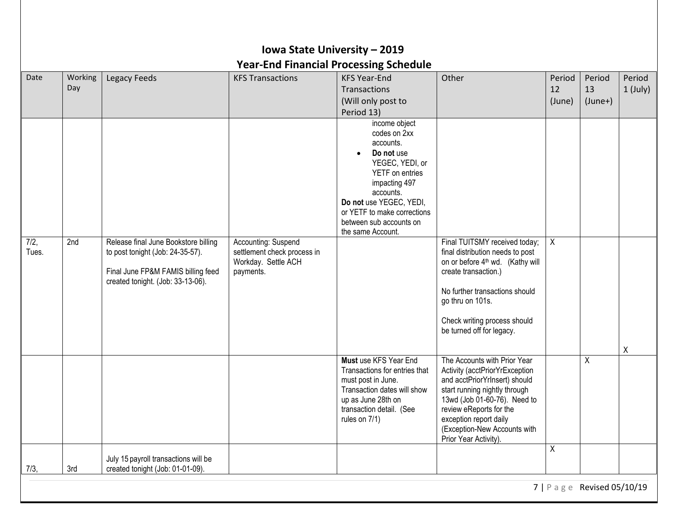|       |         |                                                                          |                             | <b>Year-End Financial Processing Schedule</b>     |                                                                 |        |           |            |
|-------|---------|--------------------------------------------------------------------------|-----------------------------|---------------------------------------------------|-----------------------------------------------------------------|--------|-----------|------------|
| Date  | Working | Legacy Feeds                                                             | <b>KFS Transactions</b>     | <b>KFS Year-End</b>                               | Other                                                           | Period | Period    | Period     |
|       | Day     |                                                                          |                             | Transactions                                      |                                                                 | 12     | 13        | $1$ (July) |
|       |         |                                                                          |                             | (Will only post to                                |                                                                 | (June) | $(June+)$ |            |
|       |         |                                                                          |                             | Period 13)                                        |                                                                 |        |           |            |
|       |         |                                                                          |                             | income object                                     |                                                                 |        |           |            |
|       |         |                                                                          |                             | codes on 2xx<br>accounts.                         |                                                                 |        |           |            |
|       |         |                                                                          |                             | Do not use                                        |                                                                 |        |           |            |
|       |         |                                                                          |                             | YEGEC, YEDI, or                                   |                                                                 |        |           |            |
|       |         |                                                                          |                             | YETF on entries                                   |                                                                 |        |           |            |
|       |         |                                                                          |                             | impacting 497                                     |                                                                 |        |           |            |
|       |         |                                                                          |                             | accounts.                                         |                                                                 |        |           |            |
|       |         |                                                                          |                             | Do not use YEGEC, YEDI,                           |                                                                 |        |           |            |
|       |         |                                                                          |                             | or YETF to make corrections                       |                                                                 |        |           |            |
|       |         |                                                                          |                             | between sub accounts on<br>the same Account.      |                                                                 |        |           |            |
| 7/2,  | 2nd     | Release final June Bookstore billing                                     | Accounting: Suspend         |                                                   | Final TUITSMY received today;                                   | X      |           |            |
| Tues. |         | to post tonight (Job: 24-35-57).                                         | settlement check process in |                                                   | final distribution needs to post                                |        |           |            |
|       |         |                                                                          | Workday. Settle ACH         |                                                   | on or before 4 <sup>th</sup> wd. (Kathy will                    |        |           |            |
|       |         | Final June FP&M FAMIS billing feed                                       | payments.                   |                                                   | create transaction.)                                            |        |           |            |
|       |         | created tonight. (Job: 33-13-06).                                        |                             |                                                   |                                                                 |        |           |            |
|       |         |                                                                          |                             |                                                   | No further transactions should                                  |        |           |            |
|       |         |                                                                          |                             |                                                   | go thru on 101s.                                                |        |           |            |
|       |         |                                                                          |                             |                                                   | Check writing process should                                    |        |           |            |
|       |         |                                                                          |                             |                                                   | be turned off for legacy.                                       |        |           |            |
|       |         |                                                                          |                             |                                                   |                                                                 |        |           |            |
|       |         |                                                                          |                             |                                                   |                                                                 |        |           | X          |
|       |         |                                                                          |                             | Must use KFS Year End                             | The Accounts with Prior Year                                    |        | X         |            |
|       |         |                                                                          |                             | Transactions for entries that                     | Activity (acctPriorYrException<br>and acctPriorYrInsert) should |        |           |            |
|       |         |                                                                          |                             | must post in June.<br>Transaction dates will show | start running nightly through                                   |        |           |            |
|       |         |                                                                          |                             | up as June 28th on                                | 13wd (Job 01-60-76). Need to                                    |        |           |            |
|       |         |                                                                          |                             | transaction detail. (See                          | review eReports for the                                         |        |           |            |
|       |         |                                                                          |                             | rules on 7/1)                                     | exception report daily                                          |        |           |            |
|       |         |                                                                          |                             |                                                   | (Exception-New Accounts with                                    |        |           |            |
|       |         |                                                                          |                             |                                                   | Prior Year Activity).                                           |        |           |            |
|       |         |                                                                          |                             |                                                   |                                                                 | X      |           |            |
| 7/3,  | 3rd     | July 15 payroll transactions will be<br>created tonight (Job: 01-01-09). |                             |                                                   |                                                                 |        |           |            |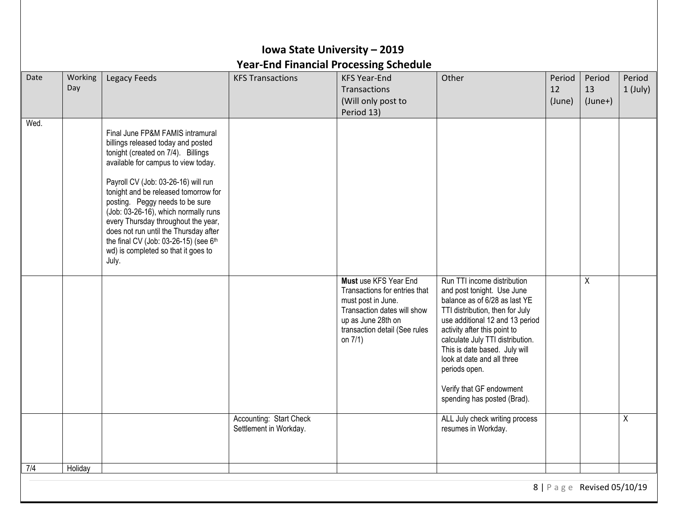| Date | Working<br>Day | Legacy Feeds                                                                                                                                                                                                                                                                                                                                                                                                                                                                           | <b>KFS Transactions</b>                           | <b>KFS Year-End</b><br>Transactions<br>(Will only post to                                                                                                                     | Other                                                                                                                                                                                                                                                                                                                                                                           | Period<br>12<br>(June) | Period<br>13<br>$(June+)$ | Period<br>1 (July) |
|------|----------------|----------------------------------------------------------------------------------------------------------------------------------------------------------------------------------------------------------------------------------------------------------------------------------------------------------------------------------------------------------------------------------------------------------------------------------------------------------------------------------------|---------------------------------------------------|-------------------------------------------------------------------------------------------------------------------------------------------------------------------------------|---------------------------------------------------------------------------------------------------------------------------------------------------------------------------------------------------------------------------------------------------------------------------------------------------------------------------------------------------------------------------------|------------------------|---------------------------|--------------------|
| Wed. |                | Final June FP&M FAMIS intramural<br>billings released today and posted<br>tonight (created on 7/4). Billings<br>available for campus to view today.<br>Payroll CV (Job: 03-26-16) will run<br>tonight and be released tomorrow for<br>posting. Peggy needs to be sure<br>(Job: 03-26-16), which normally runs<br>every Thursday throughout the year,<br>does not run until the Thursday after<br>the final CV (Job: 03-26-15) (see 6th<br>wd) is completed so that it goes to<br>July. |                                                   | Period 13)                                                                                                                                                                    |                                                                                                                                                                                                                                                                                                                                                                                 |                        |                           |                    |
|      |                |                                                                                                                                                                                                                                                                                                                                                                                                                                                                                        |                                                   | Must use KFS Year End<br>Transactions for entries that<br>must post in June.<br>Transaction dates will show<br>up as June 28th on<br>transaction detail (See rules<br>on 7/1) | Run TTI income distribution<br>and post tonight. Use June<br>balance as of 6/28 as last YE<br>TTI distribution, then for July<br>use additional 12 and 13 period<br>activity after this point to<br>calculate July TTI distribution.<br>This is date based. July will<br>look at date and all three<br>periods open.<br>Verify that GF endowment<br>spending has posted (Brad). |                        | Χ                         |                    |
|      |                |                                                                                                                                                                                                                                                                                                                                                                                                                                                                                        | Accounting: Start Check<br>Settlement in Workday. |                                                                                                                                                                               | ALL July check writing process<br>resumes in Workday.                                                                                                                                                                                                                                                                                                                           |                        |                           | Χ                  |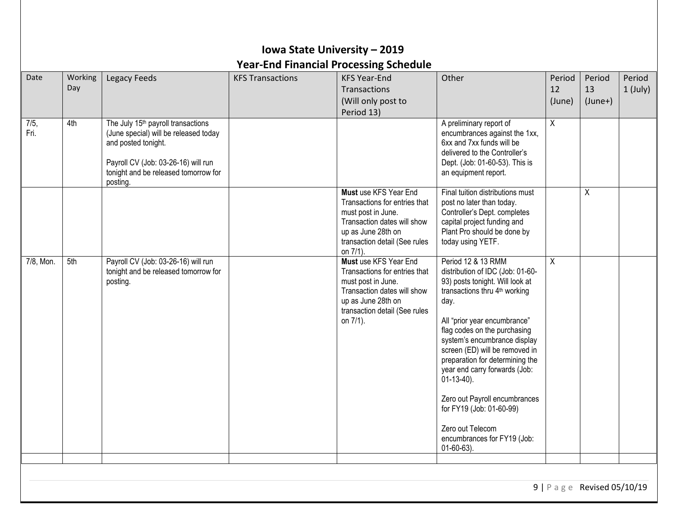## **Iowa State University – 2019 Year-End Financial Processing Schedule**

| Date<br>7/5, | Working<br>Day<br>4th | Legacy Feeds<br>The July 15 <sup>th</sup> payroll transactions                                                                                          | <b>KFS Transactions</b> | <b>KFS Year-End</b><br>Transactions<br>(Will only post to<br>Period 13)                                                                                                        | Other<br>A preliminary report of                                                                                                                                                                                                                                                                                                                                                                                                                                                                       | Period<br>12<br>(June)<br>X | Period<br>13<br>$(June+)$ | Period<br>$1$ (July) |
|--------------|-----------------------|---------------------------------------------------------------------------------------------------------------------------------------------------------|-------------------------|--------------------------------------------------------------------------------------------------------------------------------------------------------------------------------|--------------------------------------------------------------------------------------------------------------------------------------------------------------------------------------------------------------------------------------------------------------------------------------------------------------------------------------------------------------------------------------------------------------------------------------------------------------------------------------------------------|-----------------------------|---------------------------|----------------------|
| Fri.         |                       | (June special) will be released today<br>and posted tonight.<br>Payroll CV (Job: 03-26-16) will run<br>tonight and be released tomorrow for<br>posting. |                         |                                                                                                                                                                                | encumbrances against the 1xx,<br>6xx and 7xx funds will be<br>delivered to the Controller's<br>Dept. (Job: 01-60-53). This is<br>an equipment report.                                                                                                                                                                                                                                                                                                                                                  |                             |                           |                      |
|              |                       |                                                                                                                                                         |                         | Must use KFS Year End<br>Transactions for entries that<br>must post in June.<br>Transaction dates will show<br>up as June 28th on<br>transaction detail (See rules<br>on 7/1). | Final tuition distributions must<br>post no later than today.<br>Controller's Dept. completes<br>capital project funding and<br>Plant Pro should be done by<br>today using YETF.                                                                                                                                                                                                                                                                                                                       |                             | X                         |                      |
| 7/8, Mon.    | 5th                   | Payroll CV (Job: 03-26-16) will run<br>tonight and be released tomorrow for<br>posting.                                                                 |                         | Must use KFS Year End<br>Transactions for entries that<br>must post in June.<br>Transaction dates will show<br>up as June 28th on<br>transaction detail (See rules<br>on 7/1). | Period 12 & 13 RMM<br>distribution of IDC (Job: 01-60-<br>93) posts tonight. Will look at<br>transactions thru 4 <sup>th</sup> working<br>day.<br>All "prior year encumbrance"<br>flag codes on the purchasing<br>system's encumbrance display<br>screen (ED) will be removed in<br>preparation for determining the<br>year end carry forwards (Job:<br>$01-13-40$ ).<br>Zero out Payroll encumbrances<br>for FY19 (Job: 01-60-99)<br>Zero out Telecom<br>encumbrances for FY19 (Job:<br>$01-60-63$ ). | X                           |                           |                      |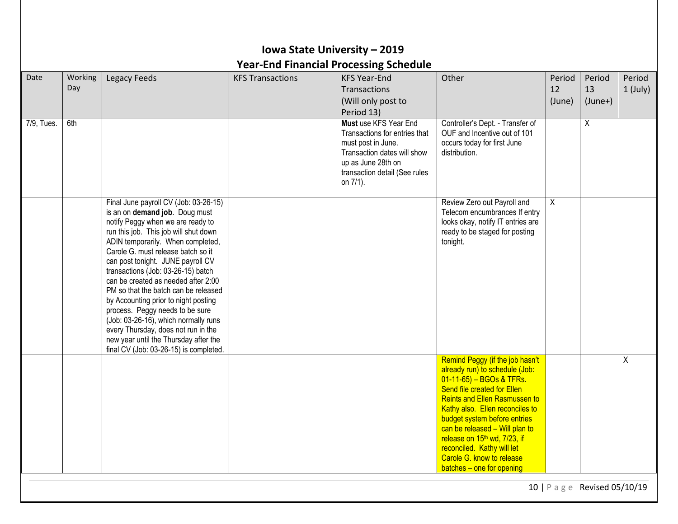|            |                |                                                                                                                                                                                                                                                                                                                                                                                                                                                                                                                                                                                                                                         |                         | <b>Year-End Financial Processing Schedule</b>                                                                                                                                  |                                                                                                                                                                                                                                                                                                                                                                                                               |                        |                           |                    |
|------------|----------------|-----------------------------------------------------------------------------------------------------------------------------------------------------------------------------------------------------------------------------------------------------------------------------------------------------------------------------------------------------------------------------------------------------------------------------------------------------------------------------------------------------------------------------------------------------------------------------------------------------------------------------------------|-------------------------|--------------------------------------------------------------------------------------------------------------------------------------------------------------------------------|---------------------------------------------------------------------------------------------------------------------------------------------------------------------------------------------------------------------------------------------------------------------------------------------------------------------------------------------------------------------------------------------------------------|------------------------|---------------------------|--------------------|
| Date       | Working<br>Day | Legacy Feeds                                                                                                                                                                                                                                                                                                                                                                                                                                                                                                                                                                                                                            | <b>KFS Transactions</b> | <b>KFS Year-End</b><br>Transactions<br>(Will only post to<br>Period 13)                                                                                                        | Other                                                                                                                                                                                                                                                                                                                                                                                                         | Period<br>12<br>(June) | Period<br>13<br>$(June+)$ | Period<br>1 (July) |
| 7/9, Tues. | 6th            |                                                                                                                                                                                                                                                                                                                                                                                                                                                                                                                                                                                                                                         |                         | Must use KFS Year End<br>Transactions for entries that<br>must post in June.<br>Transaction dates will show<br>up as June 28th on<br>transaction detail (See rules<br>on 7/1). | Controller's Dept. - Transfer of<br>OUF and Incentive out of 101<br>occurs today for first June<br>distribution.                                                                                                                                                                                                                                                                                              |                        | $\boldsymbol{\mathsf{X}}$ |                    |
|            |                | Final June payroll CV (Job: 03-26-15)<br>is an on demand job. Doug must<br>notify Peggy when we are ready to<br>run this job. This job will shut down<br>ADIN temporarily. When completed,<br>Carole G. must release batch so it<br>can post tonight. JUNE payroll CV<br>transactions (Job: 03-26-15) batch<br>can be created as needed after 2:00<br>PM so that the batch can be released<br>by Accounting prior to night posting<br>process. Peggy needs to be sure<br>(Job: 03-26-16), which normally runs<br>every Thursday, does not run in the<br>new year until the Thursday after the<br>final CV (Job: 03-26-15) is completed. |                         |                                                                                                                                                                                | Review Zero out Payroll and<br>Telecom encumbrances If entry<br>looks okay, notify IT entries are<br>ready to be staged for posting<br>tonight.                                                                                                                                                                                                                                                               | $\overline{X}$         |                           |                    |
|            |                |                                                                                                                                                                                                                                                                                                                                                                                                                                                                                                                                                                                                                                         |                         |                                                                                                                                                                                | Remind Peggy (if the job hasn't<br>already run) to schedule (Job:<br>01-11-65) - BGOs & TFRs.<br>Send file created for Ellen<br><b>Reints and Ellen Rasmussen to</b><br>Kathy also. Ellen reconciles to<br>budget system before entries<br>can be released - Will plan to<br>release on 15 <sup>th</sup> wd, 7/23, if<br>reconciled. Kathy will let<br>Carole G. know to release<br>batches - one for opening |                        |                           | X                  |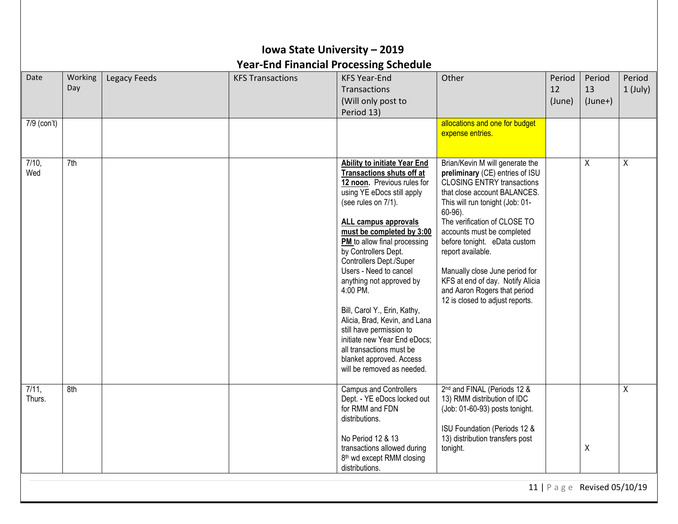|                 | Iowa State University - 2019<br><b>Year-End Financial Processing Schedule</b> |              |                         |                                                                                                                                                                                                                                                                                                                                                                                                                                                                                                                                                                                   |                                                                                                                                                                                                                                                                                                                                                                                                                                                      |                        |                           |                      |  |  |  |
|-----------------|-------------------------------------------------------------------------------|--------------|-------------------------|-----------------------------------------------------------------------------------------------------------------------------------------------------------------------------------------------------------------------------------------------------------------------------------------------------------------------------------------------------------------------------------------------------------------------------------------------------------------------------------------------------------------------------------------------------------------------------------|------------------------------------------------------------------------------------------------------------------------------------------------------------------------------------------------------------------------------------------------------------------------------------------------------------------------------------------------------------------------------------------------------------------------------------------------------|------------------------|---------------------------|----------------------|--|--|--|
| Date            | Working<br>Day                                                                | Legacy Feeds | <b>KFS Transactions</b> | <b>KFS Year-End</b><br>Transactions<br>(Will only post to<br>Period 13)                                                                                                                                                                                                                                                                                                                                                                                                                                                                                                           | Other                                                                                                                                                                                                                                                                                                                                                                                                                                                | Period<br>12<br>(June) | Period<br>13<br>$(June+)$ | Period<br>$1$ (July) |  |  |  |
| 7/9 (con't)     |                                                                               |              |                         |                                                                                                                                                                                                                                                                                                                                                                                                                                                                                                                                                                                   | allocations and one for budget<br>expense entries.                                                                                                                                                                                                                                                                                                                                                                                                   |                        |                           |                      |  |  |  |
| 7/10,<br>Wed    | 7th                                                                           |              |                         | Ability to initiate Year End<br><b>Transactions shuts off at</b><br>12 noon. Previous rules for<br>using YE eDocs still apply<br>(see rules on 7/1).<br>ALL campus approvals<br>must be completed by 3:00<br>PM to allow final processing<br>by Controllers Dept.<br>Controllers Dept./Super<br>Users - Need to cancel<br>anything not approved by<br>4:00 PM.<br>Bill, Carol Y., Erin, Kathy,<br>Alicia, Brad, Kevin, and Lana<br>still have permission to<br>initiate new Year End eDocs;<br>all transactions must be<br>blanket approved. Access<br>will be removed as needed. | Brian/Kevin M will generate the<br>preliminary (CE) entries of ISU<br><b>CLOSING ENTRY transactions</b><br>that close account BALANCES.<br>This will run tonight (Job: 01-<br>$60-96$ ).<br>The verification of CLOSE TO<br>accounts must be completed<br>before tonight. eData custom<br>report available.<br>Manually close June period for<br>KFS at end of day. Notify Alicia<br>and Aaron Rogers that period<br>12 is closed to adjust reports. |                        | Χ                         | X                    |  |  |  |
| 7/11,<br>Thurs. | 8th                                                                           |              |                         | <b>Campus and Controllers</b><br>Dept. - YE eDocs locked out<br>for RMM and FDN<br>distributions.<br>No Period 12 & 13<br>transactions allowed during<br>8 <sup>th</sup> wd except RMM closing<br>distributions.                                                                                                                                                                                                                                                                                                                                                                  | 2 <sup>nd</sup> and FINAL (Periods 12 &<br>13) RMM distribution of IDC<br>(Job: 01-60-93) posts tonight.<br>ISU Foundation (Periods 12 &<br>13) distribution transfers post<br>tonight.                                                                                                                                                                                                                                                              |                        | X                         | Χ                    |  |  |  |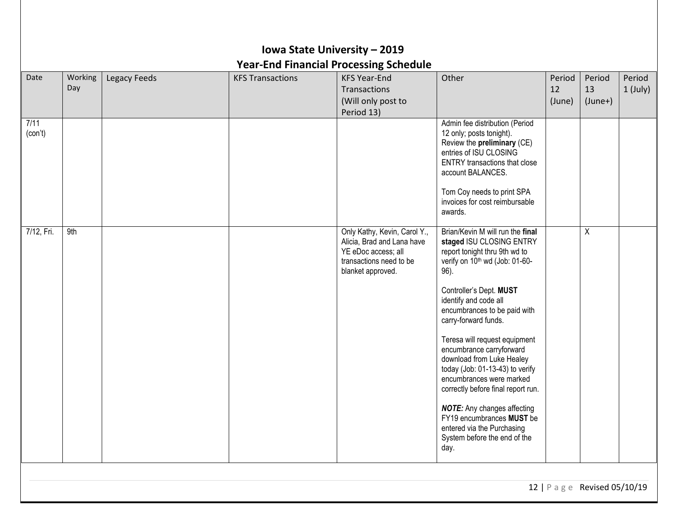|                 |                |                     |                         | Iowa State University - 2019                                                                                                      |                                                                                                                                                                                                                                                                                                                                                                                                                                                                                                                                                                                                         |                        |                           |                      |
|-----------------|----------------|---------------------|-------------------------|-----------------------------------------------------------------------------------------------------------------------------------|---------------------------------------------------------------------------------------------------------------------------------------------------------------------------------------------------------------------------------------------------------------------------------------------------------------------------------------------------------------------------------------------------------------------------------------------------------------------------------------------------------------------------------------------------------------------------------------------------------|------------------------|---------------------------|----------------------|
|                 |                |                     |                         | <b>Year-End Financial Processing Schedule</b>                                                                                     |                                                                                                                                                                                                                                                                                                                                                                                                                                                                                                                                                                                                         |                        |                           |                      |
| Date            | Working<br>Day | <b>Legacy Feeds</b> | <b>KFS Transactions</b> | <b>KFS Year-End</b><br><b>Transactions</b><br>(Will only post to<br>Period 13)                                                    | Other                                                                                                                                                                                                                                                                                                                                                                                                                                                                                                                                                                                                   | Period<br>12<br>(June) | Period<br>13<br>$(June+)$ | Period<br>$1$ (July) |
| 7/11<br>(con't) |                |                     |                         |                                                                                                                                   | Admin fee distribution (Period<br>12 only; posts tonight).<br>Review the preliminary (CE)<br>entries of ISU CLOSING<br><b>ENTRY</b> transactions that close<br>account BALANCES.<br>Tom Coy needs to print SPA<br>invoices for cost reimbursable<br>awards.                                                                                                                                                                                                                                                                                                                                             |                        |                           |                      |
| 7/12, Fri.      | 9th            |                     |                         | Only Kathy, Kevin, Carol Y.,<br>Alicia, Brad and Lana have<br>YE eDoc access; all<br>transactions need to be<br>blanket approved. | Brian/Kevin M will run the final<br>staged ISU CLOSING ENTRY<br>report tonight thru 9th wd to<br>verify on 10 <sup>th</sup> wd (Job: 01-60-<br>96).<br>Controller's Dept. MUST<br>identify and code all<br>encumbrances to be paid with<br>carry-forward funds.<br>Teresa will request equipment<br>encumbrance carryforward<br>download from Luke Healey<br>today (Job: 01-13-43) to verify<br>encumbrances were marked<br>correctly before final report run.<br><b>NOTE:</b> Any changes affecting<br>FY19 encumbrances MUST be<br>entered via the Purchasing<br>System before the end of the<br>day. |                        | X                         |                      |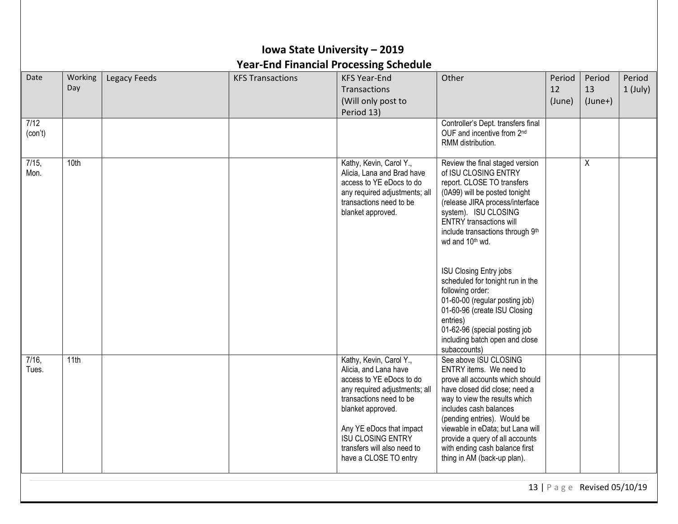| Working | Legacy Feeds | <b>KFS Transactions</b> | <b>KFS Year-End</b>                                                                                                                                                                                                   | Other                                                                                                                                                                                                                                                                                                                                                                                                                                                                                          | Period                         | Period                    | Period     |
|---------|--------------|-------------------------|-----------------------------------------------------------------------------------------------------------------------------------------------------------------------------------------------------------------------|------------------------------------------------------------------------------------------------------------------------------------------------------------------------------------------------------------------------------------------------------------------------------------------------------------------------------------------------------------------------------------------------------------------------------------------------------------------------------------------------|--------------------------------|---------------------------|------------|
| Day     |              |                         | Transactions<br>(Will only post to<br>Period 13)                                                                                                                                                                      |                                                                                                                                                                                                                                                                                                                                                                                                                                                                                                | 12<br>(June)                   | 13<br>$(June+)$           | $1$ (July) |
|         |              |                         |                                                                                                                                                                                                                       | Controller's Dept. transfers final<br>OUF and incentive from 2 <sup>nd</sup><br>RMM distribution.                                                                                                                                                                                                                                                                                                                                                                                              |                                |                           |            |
| 10th    |              |                         | Kathy, Kevin, Carol Y.,<br>Alicia, Lana and Brad have<br>access to YE eDocs to do<br>any required adjustments; all<br>transactions need to be<br>blanket approved.                                                    | Review the final staged version<br>of ISU CLOSING ENTRY<br>report. CLOSE TO transfers<br>(0A99) will be posted tonight<br>(release JIRA process/interface<br>system). ISU CLOSING<br><b>ENTRY</b> transactions will<br>include transactions through 9th<br>wd and 10 <sup>th</sup> wd.<br><b>ISU Closing Entry jobs</b><br>scheduled for tonight run in the<br>following order:<br>01-60-00 (regular posting job)<br>01-60-96 (create ISU Closing<br>entries)<br>01-62-96 (special posting job |                                | $\boldsymbol{\mathsf{X}}$ |            |
| 11th    |              |                         | Kathy, Kevin, Carol Y.,<br>Alicia, and Lana have<br>access to YE eDocs to do<br>any required adjustments; all<br>transactions need to be<br>blanket approved.<br>Any YE eDocs that impact<br><b>ISU CLOSING ENTRY</b> | subaccounts)<br>See above ISU CLOSING<br>ENTRY items. We need to<br>prove all accounts which should<br>have closed did close; need a<br>way to view the results which<br>includes cash balances<br>(pending entries). Would be<br>viewable in eData; but Lana will<br>provide a query of all accounts                                                                                                                                                                                          |                                |                           |            |
|         |              |                         | <b>Year-End Financial Processing Schedule</b>                                                                                                                                                                         |                                                                                                                                                                                                                                                                                                                                                                                                                                                                                                | including batch open and close |                           |            |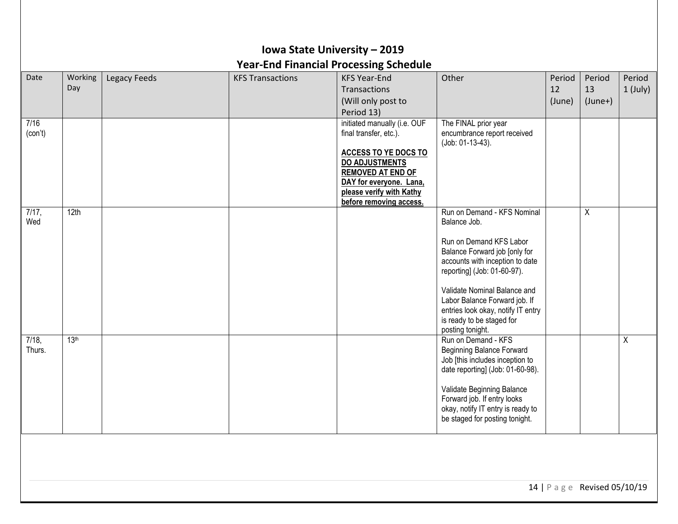| Iowa State University - 2019<br><b>Year-End Financial Processing Schedule</b> |                  |              |                         |                                                                                                                                                                                                                       |                                                                                                                                                                                                                                                                                                                                   |                        |                           |                      |  |
|-------------------------------------------------------------------------------|------------------|--------------|-------------------------|-----------------------------------------------------------------------------------------------------------------------------------------------------------------------------------------------------------------------|-----------------------------------------------------------------------------------------------------------------------------------------------------------------------------------------------------------------------------------------------------------------------------------------------------------------------------------|------------------------|---------------------------|----------------------|--|
| Date                                                                          | Working<br>Day   | Legacy Feeds | <b>KFS Transactions</b> | <b>KFS Year-End</b><br>Transactions<br>(Will only post to<br>Period 13)                                                                                                                                               | Other                                                                                                                                                                                                                                                                                                                             | Period<br>12<br>(June) | Period<br>13<br>$(June+)$ | Period<br>$1$ (July) |  |
| 7/16<br>(con't)                                                               |                  |              |                         | initiated manually (i.e. OUF<br>final transfer, etc.).<br>ACCESS TO YE DOCS TO<br><b>DO ADJUSTMENTS</b><br><b>REMOVED AT END OF</b><br>DAY for everyone. Lana,<br>please verify with Kathy<br>before removing access. | The FINAL prior year<br>encumbrance report received<br>(Job: 01-13-43).                                                                                                                                                                                                                                                           |                        |                           |                      |  |
| 7/17,<br>Wed                                                                  | 12th             |              |                         |                                                                                                                                                                                                                       | Run on Demand - KFS Nominal<br>Balance Job.<br>Run on Demand KFS Labor<br>Balance Forward job [only for<br>accounts with inception to date<br>reporting] (Job: 01-60-97).<br>Validate Nominal Balance and<br>Labor Balance Forward job. If<br>entries look okay, notify IT entry<br>is ready to be staged for<br>posting tonight. |                        | $\pmb{\chi}$              |                      |  |
| $7/18$ ,<br>Thurs.                                                            | 13 <sup>th</sup> |              |                         |                                                                                                                                                                                                                       | Run on Demand - KFS<br><b>Beginning Balance Forward</b><br>Job [this includes inception to<br>date reporting] (Job: 01-60-98).<br>Validate Beginning Balance<br>Forward job. If entry looks<br>okay, notify IT entry is ready to<br>be staged for posting tonight.                                                                |                        |                           | $\overline{X}$       |  |